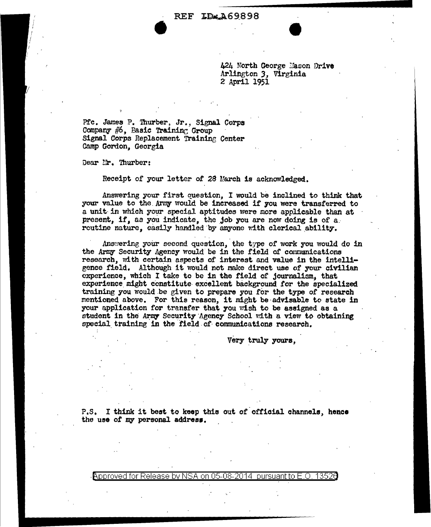424 North George Mason Drive Arlington 3, Virginia 2 April 1951

Pfc. James P. Thurber, Jr., Signal Corps Company #6, Basic Training Group Signal Corps Replacement Training Center Camp Gordon. Georgia

Dear Mr. Thurber:

Receipt of your letter of 28 March is acknowledged.

Answering your first question, I would be inclined to think that your value to the Army would be increased if you were transferred to a unit in which your special aptitudes were more applicable than at present, if, as you indicate, the job you are now doing is of a. routine nature, easily handled by anyone with clerical ability.

Answering your second question, the type of work you would do in the Army Security Agency would be in the field of communications research, with certain aspects of interest and value in the intelligence field. Although it would not make direct use of your civilian experience, which I take to be in the field of journalism, that experience might constitute excellent background for the specialized training you would be given to prepare you for the type of research mentioned above. For this reason, it might be advisable to state in your application for transfer that you wish to be assigned as a student in the Army Security Agency School with a view to obtaining special training in the field of communications research.

Very truly yours,

P.S. I think it best to keep this out of official channels, hence the use of my personal address.

Approved for Release by NSA on 05-08-2014 pursuant to E.O. 13526